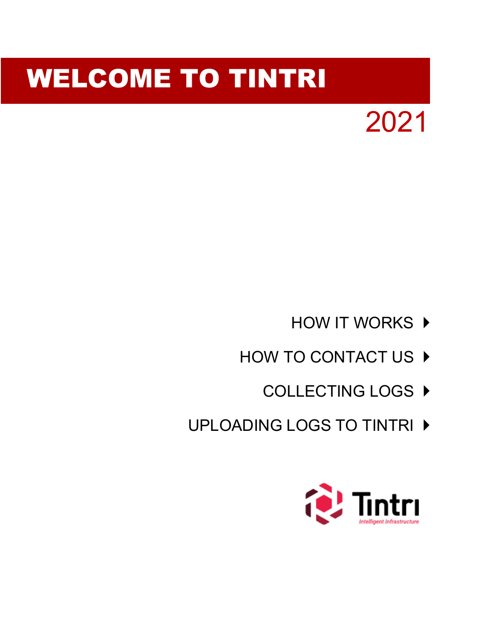

# WELCOME TO TINTRI

- **[HOW IT WORKS](#page-1-0) ▶**
- HOW TO CONTACT US ▶
	- [COLLECTING LOGS](#page-11-0) ▶
- UPLOADING LOGS TO TINTRI ▶

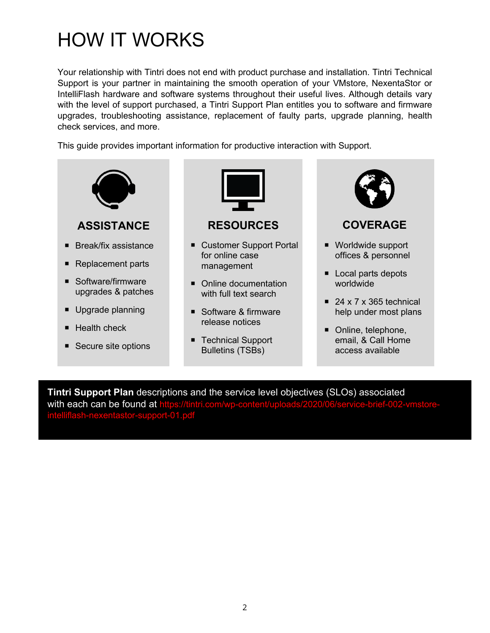## <span id="page-1-0"></span>HOW IT WORKS

Your relationship with Tintri does not end with product purchase and installation. Tintri Technical Support is your partner in maintaining the smooth operation of your VMstore, NexentaStor or IntelliFlash hardware and software systems throughout their useful lives. Although details vary with the level of support purchased, a Tintri Support Plan entitles you to software and firmware upgrades, troubleshooting assistance, replacement of faulty parts, upgrade planning, health check services, and more.

This guide provides important information for productive interaction with Support.



**Tintri Support Plan** descriptions and the service level objectives (SLOs) associated with each can be found at https:// [intelliflash-nexentastor-support-01.pdf](https://tintri.com/wp-content/uploads/2020/06/service-brief-002-vmstore-intelliflash-nexentastor-support-01.pdf)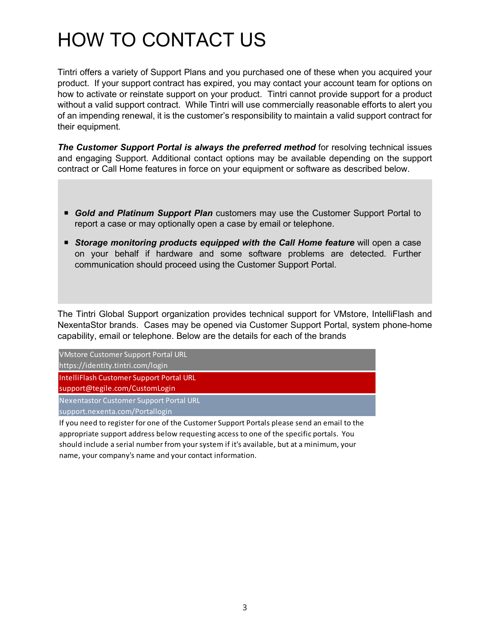## HOW TO CONTACT US

Tintri offers a variety of Support Plans and you purchased one of these when you acquired your product. If your support contract has expired, you may contact your account team for options on how to activate or reinstate support on your product. Tintri cannot provide support for a product without a valid support contract. While Tintri will use commercially reasonable efforts to alert you of an impending renewal, it is the customer's responsibility to maintain a valid support contract for their equipment.

**The Customer Support Portal is always the preferred method** for resolving technical issues and engaging Support. Additional contact options may be available depending on the support contract or Call Home features in force on your equipment or software as described below.

- *Gold and Platinum Support Plan* customers may use the Customer Support Portal to report a case or may optionally open a case by email or telephone.
- **Storage monitoring products equipped with the Call Home feature** will open a case on your behalf if hardware and some software problems are detected. Further communication should proceed using the Customer Support Portal.

The Tintri Global Support organization provides technical support for VMstore, IntelliFlash and NexentaStor brands. Cases may be opened via Customer Support Portal, system phone-home capability, email or telephone. Below are the details for each of the brands

| <b>VMstore Customer Support Portal URL</b>                                                                     |
|----------------------------------------------------------------------------------------------------------------|
| https://identity.tintri.com/login                                                                              |
| IntelliFlash Customer Support Portal URL                                                                       |
| support@tegile.com/CustomLogin                                                                                 |
| Nexentastor Customer Support Portal URL                                                                        |
| support.nexenta.com/Portallogin                                                                                |
| . If you have a discussion of the fact the continues of the common Depth and a sense and some and the share of |

If you need to register for one of the Customer Support Portals please send an email to the appropriate support address below requesting access to one of the specific portals. You should include a serial number from your system if it's available, but at a minimum, your name, your company's name and your contact information.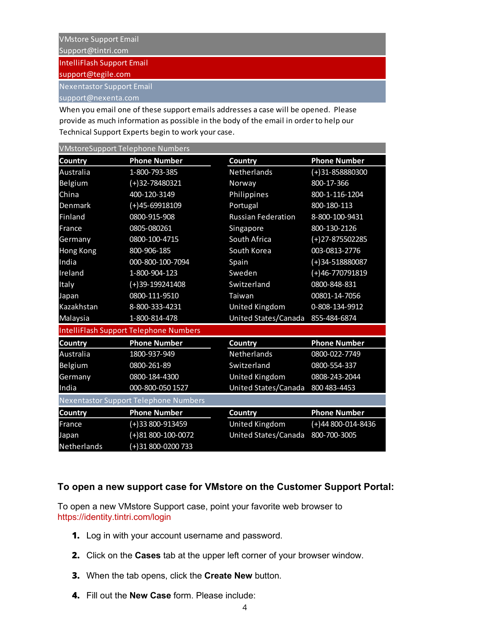Support@tintri.com IntelliFlash Support Email

support@tegile.com

Nexentastor Support Email

support@nexenta.com

When you email one of these support emails addresses a case will be opened. Please provide as much information as possible in the body of the email in order to help our Technical Support Experts begin to work your case.

| <b>VMstoreSupport Telephone Numbers</b> |                                        |                           |                     |  |
|-----------------------------------------|----------------------------------------|---------------------------|---------------------|--|
| <b>Country</b>                          | <b>Phone Number</b>                    | <b>Country</b>            | <b>Phone Number</b> |  |
| Australia                               | 1-800-793-385                          | Netherlands               | $(+)31 - 858880300$ |  |
| Belgium                                 | $(+)32 - 78480321$                     | Norway                    | 800-17-366          |  |
| China                                   | 400-120-3149                           | Philippines               | 800-1-116-1204      |  |
| Denmark                                 | $(+)$ 45-69918109                      | Portugal                  | 800-180-113         |  |
| Finland                                 | 0800-915-908                           | <b>Russian Federation</b> | 8-800-100-9431      |  |
| France                                  | 0805-080261                            | Singapore                 | 800-130-2126        |  |
| Germany                                 | 0800-100-4715                          | South Africa              | $(+)$ 27-875502285  |  |
| <b>Hong Kong</b>                        | 800-906-185                            | South Korea               | 003-0813-2776       |  |
| India                                   | 000-800-100-7094                       | Spain                     | $(+)34 - 518880087$ |  |
| Ireland                                 | 1-800-904-123                          | Sweden                    | $(+)46 - 770791819$ |  |
| Italy                                   | $(+)39-199241408$                      | Switzerland               | 0800-848-831        |  |
| Japan                                   | 0800-111-9510                          | Taiwan                    | 00801-14-7056       |  |
| Kazakhstan                              | 8-800-333-4231                         | United Kingdom            | 0-808-134-9912      |  |
| Malaysia                                | 1-800-814-478                          | United States/Canada      | 855-484-6874        |  |
|                                         | IntelliFlash Support Telephone Numbers |                           |                     |  |
| <b>Country</b>                          | <b>Phone Number</b>                    | Country                   | <b>Phone Number</b> |  |
| Australia                               | 1800-937-949                           | Netherlands               | 0800-022-7749       |  |
| Belgium                                 | 0800-261-89                            | Switzerland               | 0800-554-337        |  |
| Germany                                 | 0800-184-4300                          | United Kingdom            | 0808-243-2044       |  |
| India                                   | 000-800-050 1527                       | United States/Canada      | 800 483-4453        |  |
| Nexentastor Support Telephone Numbers   |                                        |                           |                     |  |
| <b>Country</b>                          | <b>Phone Number</b>                    | Country                   | <b>Phone Number</b> |  |
| France                                  | $(+)$ 33 800-913459                    | <b>United Kingdom</b>     | $(+)44800-014-8436$ |  |
| Japan                                   | $(+)81800-100-0072$                    | United States/Canada      | 800-700-3005        |  |
| Netherlands                             | (+)31 800-0200 733                     |                           |                     |  |

#### **To open a new support case for VMstore on the Customer Support Portal:**

To open a new VMstore Support case, point your favorite web browser to <https://identity.tintri.com/login>

- **1.** Log in with your account username and password.
- **2.** Click on the **Cases** tab at the upper left corner of your browser window.
- **3.** When the tab opens, click the **Create New** button.
- **4.** Fill out the **New Case** form. Please include: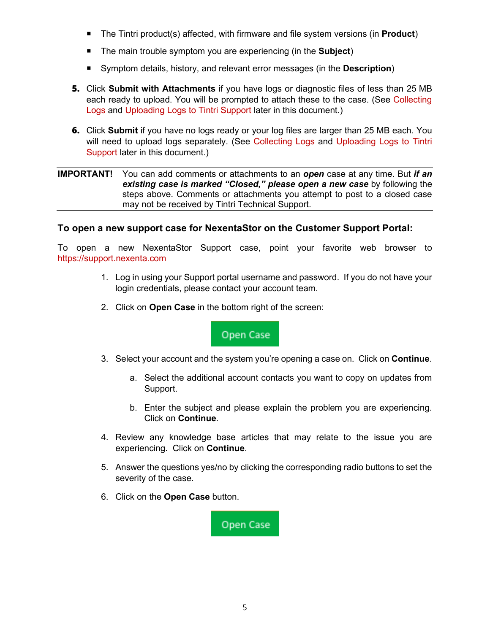- The Tintri product(s) affected, with firmware and file system versions (in **Product**)
- The main trouble symptom you are experiencing (in the **Subject**)
- Symptom details, history, and relevant error messages (in the **Description**)
- **5.** Click **Submit with Attachments** if you have logs or diagnostic files of less than 25 MB each ready to upload. You will be prompted to attach these to the case. (See [Collecting](#page-11-0)  [Logs](#page-11-0) and [Uploading Logs to Tintri Support](#page-16-0) later in this document.)
- **6.** Click **Submit** if you have no logs ready or your log files are larger than 25 MB each. You will need to upload logs separately. (See Collecting Logs and Uploading Logs to Tintri Support later in this document.)

#### **IMPORTANT!** You can add comments or attachments to an *open* case at any time. But *if an existing case is marked "Closed," please open a new case* by following the steps above. Comments or attachments you attempt to post to a closed case may not be received by Tintri Technical Support.

#### **To open a new support case for NexentaStor on the Customer Support Portal:**

To open a new NexentaStor Support case, point your favorite web browser to [https://support.nexenta.com](https://support.nexenta.com/)

- 1. Log in using your Support portal username and password. If you do not have your login credentials, please contact your account team.
- 2. Click on **Open Case** in the bottom right of the screen:



- 3. Select your account and the system you're opening a case on. Click on **Continue**.
	- a. Select the additional account contacts you want to copy on updates from Support.
	- b. Enter the subject and please explain the problem you are experiencing. Click on **Continue**.
- 4. Review any knowledge base articles that may relate to the issue you are experiencing. Click on **Continue**.
- 5. Answer the questions yes/no by clicking the corresponding radio buttons to set the severity of the case.
- 6. Click on the **Open Case** button.

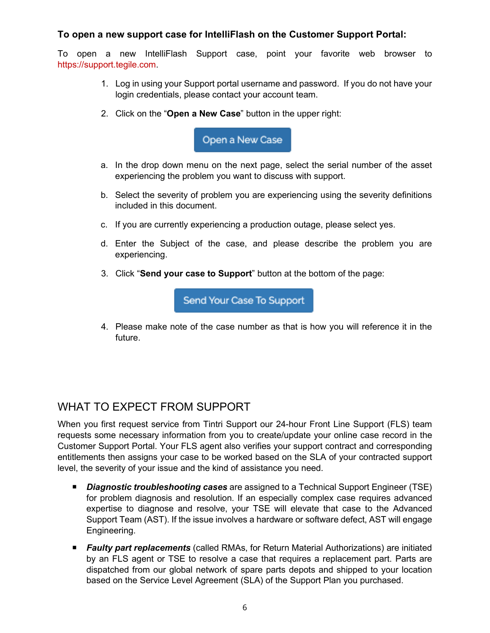### **To open a new support case for IntelliFlash on the Customer Support Portal:**

To open a new IntelliFlash Support case, point your favorite web browser to [https://support.tegile.com.](https://support.tegile.com/)

- 1. Log in using your Support portal username and password. If you do not have your login credentials, please contact your account team.
- 2. Click on the "**Open a New Case**" button in the upper right:



- a. In the drop down menu on the next page, select the serial number of the asset experiencing the problem you want to discuss with support.
- b. Select the severity of problem you are experiencing using the severity definitions included in this document.
- c. If you are currently experiencing a production outage, please select yes.
- d. Enter the Subject of the case, and please describe the problem you are experiencing.
- 3. Click "**Send your case to Support**" button at the bottom of the page:

Send Your Case To Support

4. Please make note of the case number as that is how you will reference it in the future.

## WHAT TO EXPECT FROM SUPPORT

When you first request service from Tintri Support our 24-hour Front Line Support (FLS) team requests some necessary information from you to create/update your online case record in the Customer Support Portal. Your FLS agent also verifies your support contract and corresponding entitlements then assigns your case to be worked based on the SLA of your contracted support level, the severity of your issue and the kind of assistance you need.

- *Diagnostic troubleshooting cases* are assigned to a Technical Support Engineer (TSE) for problem diagnosis and resolution. If an especially complex case requires advanced expertise to diagnose and resolve, your TSE will elevate that case to the Advanced Support Team (AST). If the issue involves a hardware or software defect, AST will engage Engineering.
- *Faulty part replacements* (called RMAs, for Return Material Authorizations) are initiated by an FLS agent or TSE to resolve a case that requires a replacement part. Parts are dispatched from our global network of spare parts depots and shipped to your location based on the Service Level Agreement (SLA) of the Support Plan you purchased.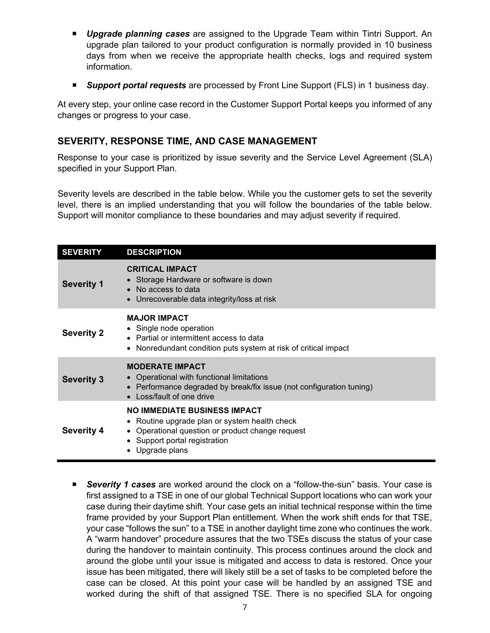- *Upgrade planning cases* are assigned to the Upgrade Team within Tintri Support. An upgrade plan tailored to your product configuration is normally provided in 10 business days from when we receive the appropriate health checks, logs and required system information.
- *Support portal requests* are processed by Front Line Support (FLS) in 1 business day.

At every step, your online case record in the Customer Support Portal keeps you informed of any changes or progress to your case.

#### **SEVERITY, RESPONSE TIME, AND CASE MANAGEMENT**

Response to your case is prioritized by issue severity and the Service Level Agreement (SLA) specified in your Support Plan.

Severity levels are described in the table below. While you the customer gets to set the severity level, there is an implied understanding that you will follow the boundaries of the table below. Support will monitor compliance to these boundaries and may adjust severity if required.

| <b>SEVERITY</b>   | <b>DESCRIPTION</b>                                                                                                                                                                                      |
|-------------------|---------------------------------------------------------------------------------------------------------------------------------------------------------------------------------------------------------|
| <b>Severity 1</b> | <b>CRITICAL IMPACT</b><br>• Storage Hardware or software is down<br>No access to data<br>Unrecoverable data integrity/loss at risk                                                                      |
| <b>Severity 2</b> | <b>MAJOR IMPACT</b><br>• Single node operation<br>• Partial or intermittent access to data<br>Nonredundant condition puts system at risk of critical impact<br>$\bullet$                                |
| <b>Severity 3</b> | <b>MODERATE IMPACT</b><br>• Operational with functional limitations<br>• Performance degraded by break/fix issue (not configuration tuning)<br>• Loss/fault of one drive                                |
| <b>Severity 4</b> | <b>NO IMMEDIATE BUSINESS IMPACT</b><br>• Routine upgrade plan or system health check<br>Operational question or product change request<br>$\bullet$<br>• Support portal registration<br>• Upgrade plans |

 *Severity 1 cases* are worked around the clock on a "follow-the-sun" basis. Your case is first assigned to a TSE in one of our global Technical Support locations who can work your case during their daytime shift. Your case gets an initial technical response within the time frame provided by your Support Plan entitlement. When the work shift ends for that TSE, your case "follows the sun" to a TSE in another daylight time zone who continues the work. A "warm handover" procedure assures that the two TSEs discuss the status of your case during the handover to maintain continuity. This process continues around the clock and around the globe until your issue is mitigated and access to data is restored. Once your issue has been mitigated, there will likely still be a set of tasks to be completed before the case can be closed. At this point your case will be handled by an assigned TSE and worked during the shift of that assigned TSE. There is no specified SLA for ongoing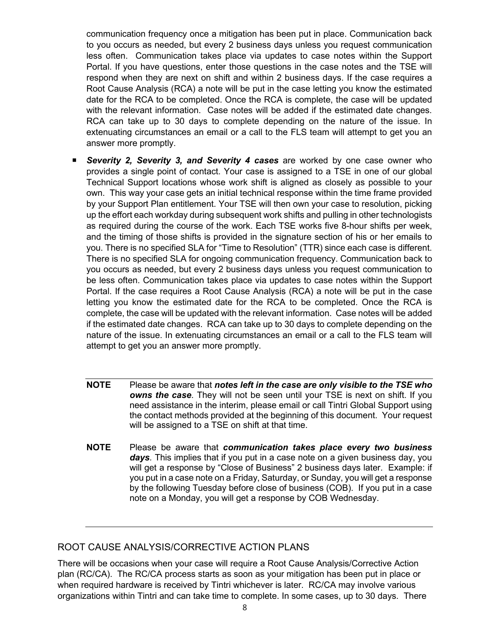communication frequency once a mitigation has been put in place. Communication back to you occurs as needed, but every 2 business days unless you request communication less often. Communication takes place via updates to case notes within the Support Portal. If you have questions, enter those questions in the case notes and the TSE will respond when they are next on shift and within 2 business days. If the case requires a Root Cause Analysis (RCA) a note will be put in the case letting you know the estimated date for the RCA to be completed. Once the RCA is complete, the case will be updated with the relevant information. Case notes will be added if the estimated date changes. RCA can take up to 30 days to complete depending on the nature of the issue. In extenuating circumstances an email or a call to the FLS team will attempt to get you an answer more promptly.

- *Severity 2, Severity 3, and Severity 4 cases* are worked by one case owner who provides a single point of contact. Your case is assigned to a TSE in one of our global Technical Support locations whose work shift is aligned as closely as possible to your own. This way your case gets an initial technical response within the time frame provided by your Support Plan entitlement. Your TSE will then own your case to resolution, picking up the effort each workday during subsequent work shifts and pulling in other technologists as required during the course of the work. Each TSE works five 8-hour shifts per week, and the timing of those shifts is provided in the signature section of his or her emails to you. There is no specified SLA for "Time to Resolution" (TTR) since each case is different. There is no specified SLA for ongoing communication frequency. Communication back to you occurs as needed, but every 2 business days unless you request communication to be less often. Communication takes place via updates to case notes within the Support Portal. If the case requires a Root Cause Analysis (RCA) a note will be put in the case letting you know the estimated date for the RCA to be completed. Once the RCA is complete, the case will be updated with the relevant information. Case notes will be added if the estimated date changes. RCA can take up to 30 days to complete depending on the nature of the issue. In extenuating circumstances an email or a call to the FLS team will attempt to get you an answer more promptly.
	- **NOTE** Please be aware that *notes left in the case are only visible to the TSE who owns the case*. They will not be seen until your TSE is next on shift. If you need assistance in the interim, please email or call Tintri Global Support using the contact methods provided at the beginning of this document. Your request will be assigned to a TSE on shift at that time.
	- **NOTE** Please be aware that *communication takes place every two business days.* This implies that if you put in a case note on a given business day, you will get a response by "Close of Business" 2 business days later. Example: if you put in a case note on a Friday, Saturday, or Sunday, you will get a response by the following Tuesday before close of business (COB). If you put in a case note on a Monday, you will get a response by COB Wednesday.

#### ROOT CAUSE ANALYSIS/CORRECTIVE ACTION PLANS

There will be occasions when your case will require a Root Cause Analysis/Corrective Action plan (RC/CA). The RC/CA process starts as soon as your mitigation has been put in place or when required hardware is received by Tintri whichever is later. RC/CA may involve various organizations within Tintri and can take time to complete. In some cases, up to 30 days. There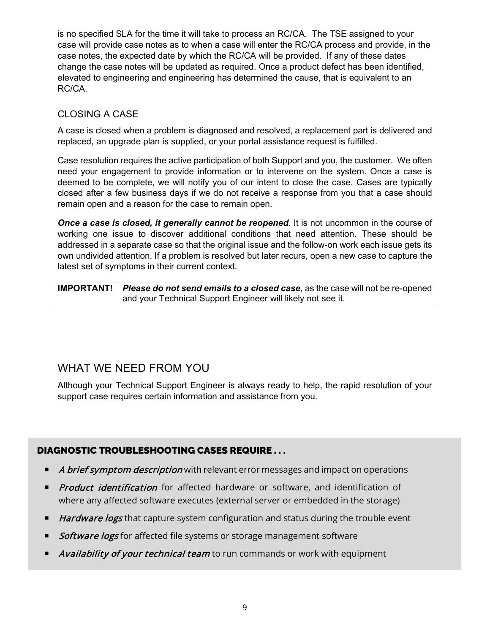is no specified SLA for the time it will take to process an RC/CA. The TSE assigned to your case will provide case notes as to when a case will enter the RC/CA process and provide, in the case notes, the expected date by which the RC/CA will be provided. If any of these dates change the case notes will be updated as required. Once a product defect has been identified, elevated to engineering and engineering has determined the cause, that is equivalent to an RC/CA.

### CLOSING A CASE

A case is closed when a problem is diagnosed and resolved, a replacement part is delivered and replaced, an upgrade plan is supplied, or your portal assistance request is fulfilled.

Case resolution requires the active participation of both Support and you, the customer. We often need your engagement to provide information or to intervene on the system. Once a case is deemed to be complete, we will notify you of our intent to close the case. Cases are typically closed after a few business days if we do not receive a response from you that a case should remain open and a reason for the case to remain open.

*Once a case is closed, it generally cannot be reopened*. It is not uncommon in the course of working one issue to discover additional conditions that need attention. These should be addressed in a separate case so that the original issue and the follow-on work each issue gets its own undivided attention. If a problem is resolved but later recurs, open a new case to capture the latest set of symptoms in their current context.

**IMPORTANT!** *Please do not send emails to a closed case*, as the case will not be re-opened and your Technical Support Engineer will likely not see it.

## WHAT WE NEED FROM YOU

Although your Technical Support Engineer is always ready to help, the rapid resolution of your support case requires certain information and assistance from you.

### DIAGNOSTIC TROUBLESHOOTING CASES REQUIRE . . .

- A brief symptom description with relevant error messages and impact on operations
- **Product identification** for affected hardware or software, and identification of where any affected software executes (external server or embedded in the storage)
- Hardware logs that capture system configuration and status during the trouble event
- Software logs for affected file systems or storage management software
- Availability of your technical team to run commands or work with equipment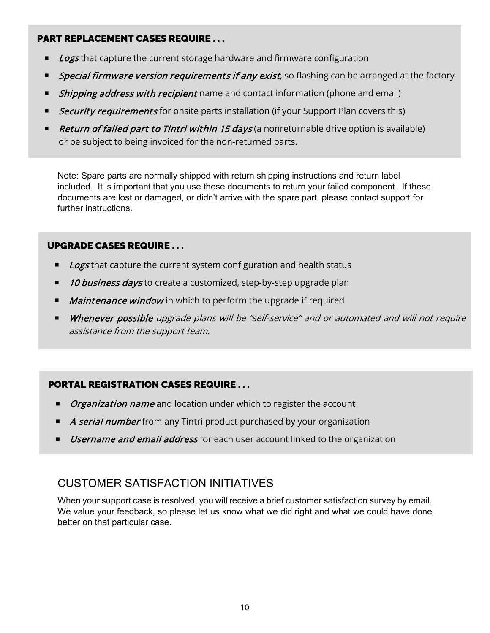### PART REPLACEMENT CASES REQUIRE . . .

- Logs that capture the current storage hardware and firmware configuration
- Special firmware version requirements if any exist, so flashing can be arranged at the factory
- Shipping address with recipient name and contact information (phone and email)
- Security requirements for onsite parts installation (if your Support Plan covers this)
- Return of failed part to Tintri within 15 days (a nonreturnable drive option is available) or be subject to being invoiced for the non-returned parts.

Note: Spare parts are normally shipped with return shipping instructions and return label included. It is important that you use these documents to return your failed component. If these documents are lost or damaged, or didn't arrive with the spare part, please contact support for further instructions.

### UPGRADE CASES REQUIRE . . .

- Logs that capture the current system configuration and health status
- 10 business days to create a customized, step-by-step upgrade plan
- **Maintenance window** in which to perform the upgrade if required
- **Whenever possible** upgrade plans will be "self-service" and or automated and will not require assistance from the support team.

## PORTAL REGISTRATION CASES REQUIRE . . .

- **Drganization name** and location under which to register the account
- A serial number from any Tintri product purchased by your organization
- Username and email address for each user account linked to the organization

## CUSTOMER SATISFACTION INITIATIVES

When your support case is resolved, you will receive a brief customer satisfaction survey by email. We value your feedback, so please let us know what we did right and what we could have done better on that particular case.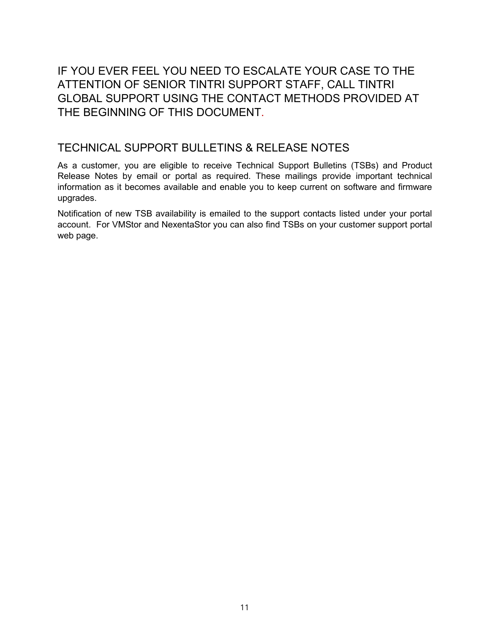IF YOU EVER FEEL YOU NEED TO ESCALATE YOUR CASE TO THE ATTENTION OF SENIOR TINTRI SUPPORT STAFF, CALL TINTRI GLOBAL SUPPORT USING THE CONTACT METHODS PROVIDED AT THE BEGINNING OF THIS DOCUMENT.

## TECHNICAL SUPPORT BULLETINS & RELEASE NOTES

As a customer, you are eligible to receive Technical Support Bulletins (TSBs) and Product Release Notes by email or portal as required. These mailings provide important technical information as it becomes available and enable you to keep current on software and firmware upgrades.

Notification of new TSB availability is emailed to the support contacts listed under your portal account. For VMStor and NexentaStor you can also find TSBs on your customer support portal web page.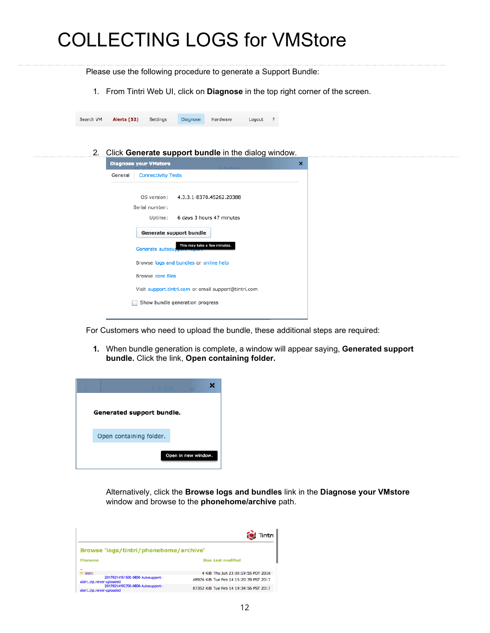## COLLECTING LOGS for VMStore

<span id="page-11-0"></span>Please use the following procedure to generate a Support Bundle:

1. From Tintri Web UI, click on **Diagnose** in the top right corner of the screen.

| Search VM | Alerts (52) | Settings | Diagnose | Hardware | Logout |  |
|-----------|-------------|----------|----------|----------|--------|--|
|           |             |          |          |          |        |  |

2. Click **Generate support bundle** in the dialog window.

| <b>Diagnose your VMstore</b> |                           |                                                      | × |  |
|------------------------------|---------------------------|------------------------------------------------------|---|--|
| General                      | <b>Connectivity Tests</b> |                                                      |   |  |
|                              | Serial number:            | OS version: 4.3.3.1-8370.45262.20388                 |   |  |
|                              |                           | Uptime: 6 days 3 hours 47 minutes                    |   |  |
|                              | Generate support bundle   |                                                      |   |  |
|                              | Generate autosupport repu | This may take a few minutes.                         |   |  |
|                              |                           | Browse logs and bundles or online help               |   |  |
|                              | Browse core files         |                                                      |   |  |
|                              |                           | Visit support.tintri.com or email support@tintri.com |   |  |
|                              |                           | Show bundle generation progress                      |   |  |
|                              |                           |                                                      |   |  |

For Customers who need to upload the bundle, these additional steps are required:

**1.** When bundle generation is complete, a window will appear saying, **Generated support bundle.** Click the link, **Open containing folder.**



Alternatively, click the **Browse logs and bundles** link in the **Diagnose your VMstore**  window and browse to the **phonehome/archive** path.

|                                                                              | Tintri                                 |
|------------------------------------------------------------------------------|----------------------------------------|
| Browse 'logs/tintri/phonehome/archive'                                       |                                        |
| <b>Filename</b>                                                              | <b>Size Last modified</b>              |
| $\ddot{\phantom{0}}$<br>$\bullet$ leon/<br>-20170214151500-0800-Autosupport- | 4 KiB Thu Jun 23 00:19:55 PDT 2016     |
| Alert.zip.never-uploaded<br>-20170214192700-0800-Autosupport-                | 48976 KiB Tue Feb 14 15:20:39 PST 2017 |
| Alert.zip.never-uploaded                                                     | 87352 KiB Tue Feb 14 19:34:56 PST 2017 |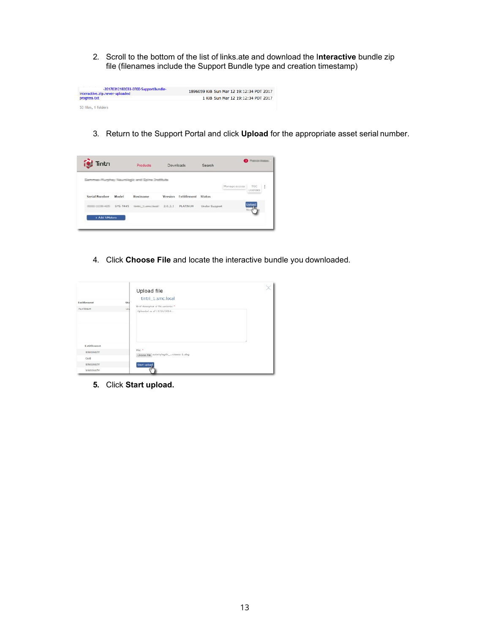2. Scroll to the bottom of the list of links.ate and download the I**nteractive** bundle zip file (filenames include the Support Bundle type and creation timestamp)

| -20170312182033-0700-SupportBundle-<br>Interactive.zip.never-uploaded | 1896059 KiB Sun Mar 12 19:12:34 PDT 2017 |
|-----------------------------------------------------------------------|------------------------------------------|
| progress.txt                                                          | 1 KiB Sun Mar 12 19:12:34 PDT 2017       |
| 53 files, 1 folders                                                   |                                          |

3. Return to the Support Portal and click **Upload** for the appropriate asset serial number.



4. Click **Choose File** and locate the interactive bundle you downloaded.

|                 |     | Upload file<br>tintri_1.smc.local                    |  |
|-----------------|-----|------------------------------------------------------|--|
| Entitlement     | Sta | Brief description of file contents: *                |  |
| <b>PLATINUM</b> | Uni | Uploaded as of 11/14/2014                            |  |
| Entitlement     |     |                                                      |  |
| <b>WARRANTY</b> |     | File: *<br>Choose File activitylogdir_retrace-1.alog |  |
| Gold            |     |                                                      |  |
| <b>WARRANTY</b> |     | Start upload                                         |  |
| WARRANTY        |     |                                                      |  |

**5.** Click **Start upload.**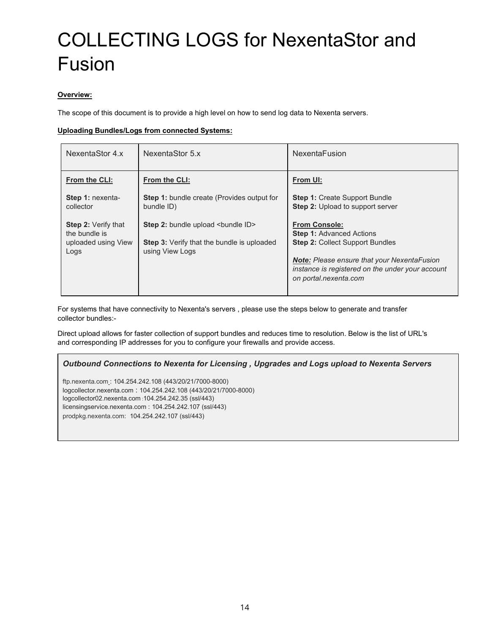## COLLECTING LOGS for NexentaStor and Fusion

#### **Overview:**

The scope of this document is to provide a high level on how to send log data to Nexenta servers.

#### **Uploading Bundles/Logs from connected Systems:**

| NexentaStor 4.x                                                            | NexentaStor 5.x                                                                                             | <b>NexentaFusion</b>                                                                                                                                                                                                                 |
|----------------------------------------------------------------------------|-------------------------------------------------------------------------------------------------------------|--------------------------------------------------------------------------------------------------------------------------------------------------------------------------------------------------------------------------------------|
| From the CLI:                                                              | From the CLI:                                                                                               | From UI:                                                                                                                                                                                                                             |
| Step 1: nexenta-<br>collector                                              | <b>Step 1:</b> bundle create (Provides output for<br>bundle ID)                                             | <b>Step 1: Create Support Bundle</b><br>Step 2: Upload to support server                                                                                                                                                             |
| <b>Step 2: Verify that</b><br>the bundle is<br>uploaded using View<br>Logs | Step 2: bundle upload<br>bundle ID><br><b>Step 3:</b> Verify that the bundle is uploaded<br>using View Logs | <b>From Console:</b><br><b>Step 1: Advanced Actions</b><br><b>Step 2: Collect Support Bundles</b><br><b>Note:</b> Please ensure that your NexentaFusion<br>instance is registered on the under your account<br>on portal.nexenta.com |

For systems that have connectivity to Nexenta's servers , please use the steps below to generate and transfer collector bundles:-

Direct upload allows for faster collection of support bundles and reduces time to resolution. Below is the list of URL's and corresponding IP addresses for you to configure your firewalls and provide access.

#### *Outbound Connections to Nexenta for Licensing , Upgrades and Logs upload to Nexenta Servers*

[ftp.nexenta.com](ftp://ftp.nexenta.com/) : 104.254.242.108 (443/20/21/7000-8000) logcollector.nexenta.com : 104.254.242.108 (443/20/21/7000-8000) logcollector02.nexenta.com :104.254.242.35 (ssl/443) licensingservice.nexenta.com : 104.254.242.107 (ssl/443) [prodpkg.nexenta.com:](https://prodpkg.nexenta.com/) 104.254.242.107 (ssl/443)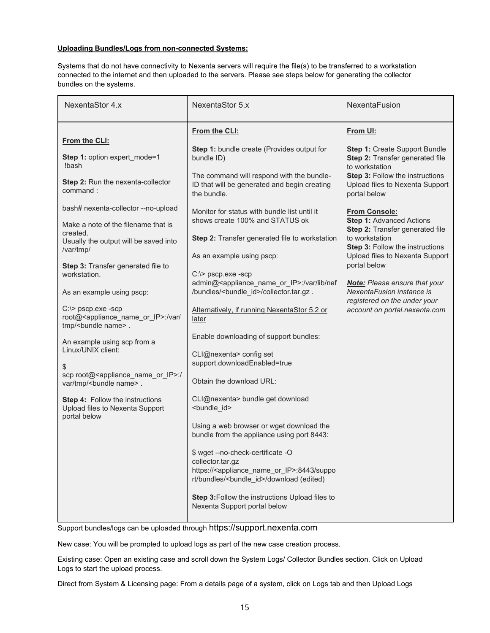#### **Uploading Bundles/Logs from non-connected Systems:**

Systems that do not have connectivity to Nexenta servers will require the file(s) to be transferred to a workstation connected to the internet and then uploaded to the servers. Please see steps below for generating the collector bundles on the systems.

| NexentaStor 4.x                                                                                                                                                                                                                                                                                                                                                                                                                                                                                                                                                                                                                                                                                                           | NexentaStor 5.x                                                                                                                                                                                                                                                                                                                                                                                                                                                                                                                                                                                                                                                                                                                                                                                                                                                                                                                                                                                                                                                                                                                                          | NexentaFusion                                                                                                                                                                                                                                                                                                                                                                                                                                                                                                                           |
|---------------------------------------------------------------------------------------------------------------------------------------------------------------------------------------------------------------------------------------------------------------------------------------------------------------------------------------------------------------------------------------------------------------------------------------------------------------------------------------------------------------------------------------------------------------------------------------------------------------------------------------------------------------------------------------------------------------------------|----------------------------------------------------------------------------------------------------------------------------------------------------------------------------------------------------------------------------------------------------------------------------------------------------------------------------------------------------------------------------------------------------------------------------------------------------------------------------------------------------------------------------------------------------------------------------------------------------------------------------------------------------------------------------------------------------------------------------------------------------------------------------------------------------------------------------------------------------------------------------------------------------------------------------------------------------------------------------------------------------------------------------------------------------------------------------------------------------------------------------------------------------------|-----------------------------------------------------------------------------------------------------------------------------------------------------------------------------------------------------------------------------------------------------------------------------------------------------------------------------------------------------------------------------------------------------------------------------------------------------------------------------------------------------------------------------------------|
| From the CLI:<br>Step 1: option expert_mode=1<br>!bash<br>Step 2: Run the nexenta-collector<br>command:<br>bash# nexenta-collector --no-upload<br>Make a note of the filename that is<br>created.<br>Usually the output will be saved into<br>/var/tmp/<br>Step 3: Transfer generated file to<br>workstation.<br>As an example using pscp:<br>C:\> pscp.exe -scp<br>root@ <appliance ip="" name="" or="">:/var/<br/>tmp/<bundle name="">.<br/>An example using scp from a<br/>Linux/UNIX client:<br/>\$<br/>scp root@<appliance_name_or_ip>:/<br/>var/tmp/<bundle name="">.<br/>Step 4: Follow the instructions<br/>Upload files to Nexenta Support<br/>portal below</bundle></appliance_name_or_ip></bundle></appliance> | From the CLI:<br>Step 1: bundle create (Provides output for<br>bundle ID)<br>The command will respond with the bundle-<br>ID that will be generated and begin creating<br>the bundle.<br>Monitor for status with bundle list until it<br>shows create 100% and STATUS ok<br>Step 2: Transfer generated file to workstation<br>As an example using pscp:<br>C:\> pscp.exe -scp<br>admin@ <appliance ip="" name="" or="">:/var/lib/nef<br/>/bundles/<bundle_id>/collector.tar.gz.<br/>Alternatively, if running NexentaStor 5.2 or<br/>later<br/>Enable downloading of support bundles:<br/>CLI@nexenta&gt; config set<br/>support.downloadEnabled=true<br/>Obtain the download URL:<br/>CLI@nexenta&gt; bundle get download<br/><bundle id=""><br/>Using a web browser or wget download the<br/>bundle from the appliance using port 8443:<br/>\$ wget --no-check-certificate -O<br/>collector.tar.gz<br/>https://<appliance_name_or_ip>:8443/suppo<br/>rt/bundles/<bundle_id>/download (edited)<br/>Step 3: Follow the instructions Upload files to<br/>Nexenta Support portal below</bundle_id></appliance_name_or_ip></bundle></bundle_id></appliance> | From UI:<br>Step 1: Create Support Bundle<br>Step 2: Transfer generated file<br>to workstation<br><b>Step 3: Follow the instructions</b><br>Upload files to Nexenta Support<br>portal below<br><b>From Console:</b><br><b>Step 1: Advanced Actions</b><br>Step 2: Transfer generated file<br>to workstation<br>Step 3: Follow the instructions<br>Upload files to Nexenta Support<br>portal below<br><b>Note:</b> Please ensure that your<br>NexentaFusion instance is<br>registered on the under your<br>account on portal.nexenta.com |
|                                                                                                                                                                                                                                                                                                                                                                                                                                                                                                                                                                                                                                                                                                                           |                                                                                                                                                                                                                                                                                                                                                                                                                                                                                                                                                                                                                                                                                                                                                                                                                                                                                                                                                                                                                                                                                                                                                          |                                                                                                                                                                                                                                                                                                                                                                                                                                                                                                                                         |

Support bundles/logs can be uploaded through [https://support.nexenta.com](https://portal.nexenta.com/)

New case: You will be prompted to upload logs as part of the new case creation process.

Existing case: Open an existing case and scroll down the System Logs/ Collector Bundles section. Click on Upload Logs to start the upload process.

Direct from System & Licensing page: From a details page of a system, click on Logs tab and then Upload Logs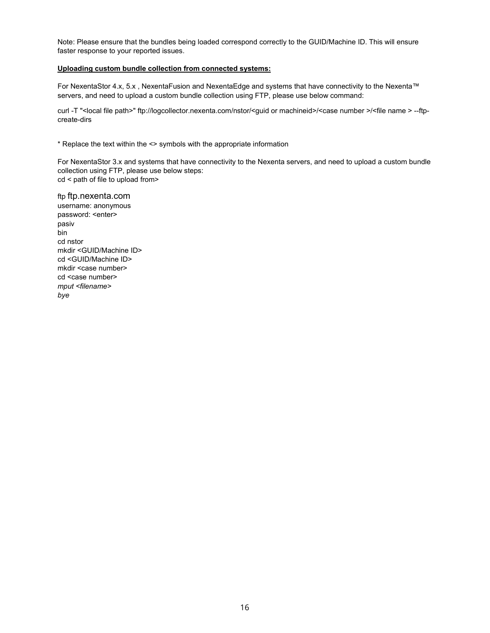Note: Please ensure that the bundles being loaded correspond correctly to the GUID/Machine ID. This will ensure faster response to your reported issues.

#### **Uploading custom bundle collection from connected systems:**

For NexentaStor 4.x, 5.x , NexentaFusion and NexentaEdge and systems that have connectivity to the Nexenta™ servers, and need to upload a custom bundle collection using FTP, please use below command:

curl -T "<local file path>" ftp://logcollector.nexenta.com/nstor/<guid or machineid>/<case number >/<file name > --ftpcreate-dirs

\* Replace the text within the <> symbols with the appropriate information

For NexentaStor 3.x and systems that have connectivity to the Nexenta servers, and need to upload a custom bundle collection using FTP, please use below steps: cd < path of file to upload from>

ftp [ftp.nexenta.com](ftp://ftp.nexenta.com/) username: anonymous password: <enter> pasiv bin cd nstor mkdir <GUID/Machine ID> cd <GUID/Machine ID> mkdir <case number> cd <case number> *mput <filename> bye*